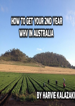# **HOW TO GET YOUR 2ND YEAR** WWWWGEATA

# **BY HARVIE KALAZAKI**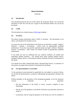### **Ebook disclaimer**

*by SEQ Legal*

# **(1) Introduction**

This disclaimer governs the use of this ebook. By using this ebook, you accept this disclaimer in full. We will ask you to agree to this disclaimer before you can access the ebook.

### **(2) Credit**

This disclaimer was created using an **SEQ Legal** template.

### **(3) No advice**

The ebook contains information about a WHV in Australia. The information is not advice, and should not be treated as such.

You must not rely on the information in the ebook as an alternative to legal / medical / financial / taxation / accountancy / advice from an appropriately qualified professional. If you have any specific questions about any legal / medical / financial / taxation / accountancy / *other* matter you should consult an appropriately qualified professional.

If you think you may be suffering from any medical condition you should seek immediate medical attention. You should never delay seeking medical advice, disregard medical advice, or discontinue medical treatment because of information in the ebook.

You should never delay seeking legal advice, disregard legal advice, or commence or discontinue any legal action because of information in the ebook.

### **(4) No representations or warranties**

To the maximum extent permitted by applicable law and subject to section 6 below, we exclude all representations, warranties, undertakings and guarantees relating to the ebook.

Without prejudice to the generality of the foregoing paragraph, we do not represent, warrant, undertake or guarantee:

- $\lambda$  that the information in the ebook is correct, accurate, complete or nonmisleading;
- $\lambda$  that the use of the guidance in the ebook will lead to any particular outcome or result; or
- $\lambda$  in particular, that by using the guidance in the ebook you will be available to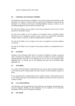achieve anything stated in this ebook.

# **(5) Limitations and exclusions of liability**

The limitations and exclusions of liability set out in this section and elsewhere in this disclaimer: are subject to section 6 below; and govern all liabilities arising under the disclaimer or in relation to the ebook, including liabilities arising in contract, in tort (including negligence) and for breach of statutory duty.

We will not be liable to you in respect of any losses arising out of any event or events beyond our reasonable control.

We will not be liable to you in respect of any business losses, including without limitation loss of or damage to profits, income, revenue, use, production, anticipated savings, business, contracts, commercial opportunities or goodwill.

We will not be liable to you in respect of any loss or corruption of any data, database or software.

We will not be liable to you in respect of any special, indirect or consequential loss or damage.

### **(6) Exceptions**

Nothing in this disclaimer shall: limit or exclude our liability for death or personal injury resulting from negligence; limit or exclude our liability for fraud or fraudulent misrepresentation; limit any of our liabilities in any way that is not permitted under applicable law; or exclude any of our liabilities that may not be excluded under applicable law.

# **(7) Severability**

If a section of this disclaimer is determined by any court or other competent authority to be unlawful and/or unenforceable, the other sections of this disclaimer continue in effect.

If any unlawful and/or unenforceable section would be lawful or enforceable if part of it were deleted, that part will be deemed to be deleted, and the rest of the section will continue in effect.

# **(8) Law and jurisdiction**

This disclaimer will be governed by and construed in accordance with English law, and any disputes relating to this disclaimer will be subject to the exclusive jurisdiction of the courts of England and Wales.

### **(9) Our details**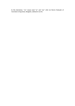In this disclaimer, "we" means (and "us" and "our" refer to) Harvie Kalazaki of Aravinda Living home, Bangkok, sukhumvit soi 65.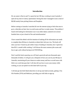# **Introduction**

<span id="page-5-0"></span>Hi, my name is Harvie and I've spent the last 100 days working in rural Australia. I spent all my time in Gatton, Queensland. During this time I managed to earn a total of \$8,500 mainly from picking Onions and Pumpkins.

Before coming to Australia I searched all over the internet trying to find what area to go to, what jobs are best, how to avoid scams and how to make money. The problem I found with looking for information was it was either dated, scattered over several hundred sites or just a bunch of lies and misinformation!

I have created this eBook with the intention of making all the information one needs to complete there 88 days in Australia to obtain their 2nd year visa. The book will show you how I found my job within 5 days of landing in Australia, how I spent less than \$511 a month while working. I will discuss the most common jobs scams and how to get a job without having to do WWOOFing.

Don't read this book expecting you will land a great job and earn thousands upon thousands of dollars. It will give you a blueprint of how you can do your 88 days in Australia, maximising all your chances to make money and how to avoid areas with little to no work that pays bad. I will also tell you how to save your money while working, so you can spend it on the latter half of your trip.

I will also go into brief detail about how to set-up your bank accounts, getting a Tax File Number (TFN) and Medicare, providing you with links to sign up.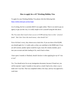# **How to apply for a 417 Working Holiday Visa**

<span id="page-6-0"></span>To apply for your Working Holiday Visa please click the following link: <https://online.immi.gov.au/lusc/login>

As of writing, the fee is currently \$420 if you apply online. There is no need to pay an agency to get you this visa, it is really simple to do it yourself using the link above.

*The Visa states that I need to have access to \$5,000 and may have to show "proof of funds", But I don't have this much money, what should I do?*

First of all don't worry, they almost never check this. If you are short of the \$5,000, you should apply for 1-2 credit cards, as they can contribute to the \$5000 total. If you are still worried, another option would be to get a loan off a family member, put it into your account and after landing in Oz, send it back to them.

*I have spent 3 months in Thailand, should I declare it when applying for my 417 visa or not?*

Yes. You should never lie on any immigration document, because if found out, you will be rejected. I spent 3 months in Asia and as a result I had to do a chest x-ray to make sure I was fine. That was completed within a few days, and my visa approved a week later.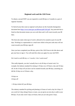# **Regional work and the 1263 Form**

<span id="page-7-0"></span>To obtain a second WHV you are required to work 88 days or 3 months in a part of regional Australia.

To find all areas that count as regional work please see the Australia Immigration document here [https://www.immi.gov.au/allforms/pdf/1263.pdf.](https://www.immi.gov.au/allforms/pdf/1263.pdf) Any postcode that is listed on that document means you can work there and it will count towards your 88 days.

The form also states what type of work is allowed to be counted as part of your 88 days. Working in a supermarket or a retail store whilst in the post code areas will not count towards your 88 days sign off.

Once you have completed your 88 days, print of the 1263 Form in the link above and get your boss to sign it. You will need this when you apply for your 2nd WHV.

### *Do I need to work 88 days or 3 months, I don't understand?*

This really depends, you don't actually have to do 88 days of actual work. For example, the industry standard for mining is 10 days on at 10 hours a day and 10 days off. So the 10 days off you have can be counted towards your 88 days, assuming you did the 10 days on at 10 hours a day.

10 days on 10 days off

 $= 20$  days ticked off your 88 days.

The industry standard for picking and planting is 6 hours of work a day for 6 days. If you work for 6 days doing 6 hours or more, you are given an extra day to add to your 88 days. If you only work 5 days at 6 hours, then you are only given 5 days.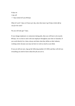6 days on 1 day off = 7 days ticked off your 88 days

*What if I work 7 days at 6 hours per day, does that mean I get 8 days ticked off my visa for the week?*

No you will only get 7 days.

If you change employers or contractors during jobs, then you will have to do exactly 88 days. So it is best to stick with one employer throughout your time in Australia. If you work directly for a farm, always ask them what they define as their industry working week, because you may not have to work as much as you think.

If you are still not sure, ring up the following number (131 881) and they will tell you everything you need to know about the job you are in.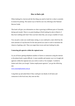# **How to find a job**

<span id="page-9-0"></span>When looking for a harvest job the first thing you need to look for is what is currently in season for picking. The easiest way to find his out is by referring to the National Harvest Guide.

This book will give you information on what is growing in different parts of Australia during each month. There is no point heading to Perth looking for jobs in March, if they have nothing until June! Once you have done that, you can go a number of ways.

You can pick a state you would enjoy seeing, or you could pick a state which has the most amounts of crop harvests for the time period you want to work to maximise the chances of getting a job. Then you target these towns and start looking for jobs.

### **Contacting job agencies within the regional areas**

As you all know getting telephone numbers of farms or contractors using the internet or the phone book is quite difficult. A more sensible and smarter way is to Google job agencies within the regional area you wish to work in. For example, I worked in Gatton and when you Google "Gatton employment agencies" you get the following site:

### [www.maxemployment.com.au](http://www.maxemployment.com.au/)

I rang them up and asked them if they could give me details of all farms and contractors in the local area, they sent me this: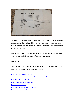| Name<br>Abraham       | <b>Phone Numbers</b><br>0423 735 588 |
|-----------------------|--------------------------------------|
| <b>AEC</b> Holdings   | 0438 150 616                         |
| Baur                  | 07 5462 6124                         |
| Bell-Be. Abdel        | 0423 692 487                         |
| <b>Blackboy Ridge</b> | 0413 179 133                         |
| Harrison Harvesting   | 0418 786 330                         |
| Hussien               | 07 5462 1440 / 0402 313 621          |
| Koala Farms           | 0412 182 338                         |
| Mulgowie Farming      | 07 5465 9222                         |
| Raddatz               | 07 5462 1782                         |
| Vege Fresh            | 07 5462 7294                         |

You should do this wherever you go. This way you can ring up all the contractors and farms before travelling in the middle of no where. You can ask them if there is work there, how are you paid, how long is the work for, what type of work, and everything else you need to know.

Now you are speaking directly with the farmer or contractor and none of this "wishy washy" second hand talk that you hear from other backpackers.

# **Internet job sites**

There are many sites that will help you find a farm job in Oz. Below are what I have found most useful. The internet is a valuable resource.

<https://jobsearch.gov.au/harvesttrail/> [www.seek.com.au/jobs-in-farming-animals-conservation/farm-labour/in-australia/](http://www.seek.com.au/jobs-in-farming-animals-conservation/farm-labour/in-australia/) <http://www.gumtree.com.au/> <http://www.ruralenterprises.com.au/> [http://www.farmwork.tv](http://www.farmwork.tv/) <http://www.backpackerjobboard.com.au/> <http://nomadsworld.com/jobs/>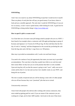### **WWOOFing**

I don't have too much to say about WWOOFing except that I would not do it myself. There are plenty of rural jobs that will pay you good money if you know where to look and use a sensible approach. The only time I would do WWOOFing is if you are low on money, or don't want to spend money while looking for work. A good site for WWOOFing or doing similar things is<http://www.helpx.net/>

### **How to spot if a job is a scam or not?**

As of late there are a lot more scam job listings aimed at people who are on a WHV. I have heard of an example where a contractor sold 100 apple picking bags to group of Koreans and Japanese's in Victoria for \$100 per bag. He then told them that the first day of work is "training" and then disappeared on the second day pocketing the cash from the bag sales and a full day's wage from over 100 pickers.

### *Must stay in provided accommodation with 2 weeks rent and bond charge.*

You need to be cautious of any job opportunity that states you must stay in provided accommodation. The scam here is that they usually have little to no work but need their rooms filled. So they lure you in on the promise that there is work available. Upon arriving they tell you that the season is going to start "soon", sadly soon never comes and by then it's too late and you have lost valuable weeks on your WHV, and being left out of pocket.

The rent is usually overpriced and you will be sharing a room with 2-6 other people who are all here because they were "promised" jobs that never existed.

### *Untrustworthy contractors*

I have lived with people who told me after working with various contractors, they never ended up getting paid for work. If you are unsure if the contractor you are working for is legit, ask for their ABN number. Ask locals in the area if they know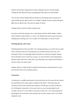him/her well and how long they have been working in the area. Ask the people working for him about how they are getting paid. Have they ever had trouble?

You can also call the National Harvest Help Line and enquire about contractors as some of them get put under review for a number of things. If they are given the green light, they are good to go. The same can apply for farms.

### *Sending money in advance before starting work*

Any type of work that requires you to send money up front, either cheque, western union, PayPal or bank transfer, is a scam. You should never have to pay up front for anything when starting a job. You wouldn't do it back home, so why do it here?

### **Working directly with a farm**

Working directly for farms are ideal. You will get paid more as you don't have to deal with a contractor and you will usually get a set amount of hours each week. The downside is that it is increasingly hard to find jobs on a farm just using the internet. One of the better ways to find one is to get a car and visit farm to farm asking them directly if they need work. If they don't, just drop them your number and tell them to call you if they ever need a hand.

Another option is to pick up the local phone book and start contacting farms in your area, however this can be a tedious process.

### **Contractors**

A contractor is a middle man between you and the farm, he will source all the workers and send them to the various farms on behalf of the farmer. The farmer pays the contractor for the work, and then the contractor will then pay you after he takes his cut. Working for contractors is a bit more risky as you are not guaranteed work everyday. However it's less effort on your part to find work. You will get picked up and dropped off to and from work everyday and you don't need to call or visit farms asking for work.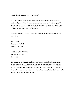### **Work directly with a farm or a contractor?**

If you are just here to work then I suggest going with a farm is the better route. As I said, usually you will be given a set amount of hours each week, and you get paid better. However if you just want to be more flexible and work now and again, going with a contractor is the most sensible route.

To give you a few examples of wages between working for a farm and a contractor, see below:

*Hourly work* Contractor- \$17-\$20 Farm - \$20.67-\$28

*A Bin of Onions/Tomatoes* Contractor - \$30-\$45 Farm - \$65

As you can see working directly for the farm is more profitable and you get more money for your work. So if your main goal is to make money, always go with the farmer. It may be longer hours, more days working and less free time, but the loss of time will be a gain in money. If you don't want to work very hard and just get your 88 days signed off, go with the contractor.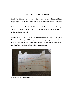# **How I made \$8,000 in 3 months**

<span id="page-14-0"></span>I made \$8,000 in just over 3 months. I believe it was 3 months and 1 week. I did this all picking and packing fruit and vegetables. I mainly picked Onions and Pumpkins.

Onions were contracted work, paid \$40 per bin, while Pumpkins were paid hourly at \$17/hr. Once getting to speed, I managed to hit about 4-5 bins a day for onions. This took around 8-10 hours a day.

I also did other jobs such as packing pumpkins, tomatoes and lettuce. All this too was hourly jobs and were paid \$17/hr. If you work for the right people who are not there to scam you or swindle you, you can make money. Don't believe me? Here are my pay slips for two weeks of picking and packing Pumpkins.



Payslip for 9-15th December = \$756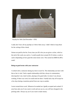

Payslip for 16th-22nd December =  $$782$ 

I sadly don't have all my payslips as I threw them away. I didn't think to keep them for the writing of this e-book.

Onions are paid by the bin. Every time you fill a bin you are given a ticket, which at the end of the week you cash in. I would usually have around 20-25 tickets a week to cash in depending on how good the onion farms were. This earned me \$800-\$1,000 a week!

# **Being on good terms with your contractor**

I worked with a contractor during my time in rural Oz. The relationship you have with him or her is vital. I had a superb relationship with him, always in commutation, showing him I am a hard worker, playing to his good sides. In return I was always working. If there was work, he would send me there. I hardly had a day off except for a few days during a transition period from one crop to another.

I never turned down work. Whenever he needed me I gladly accepted and worked. If your boss asks you if you want to work and you say no, you will have dropped in the pecking order. Always say yes if you want to make money.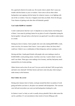Do a good job wherever he sends you. Do exactly what is asked. Don't cause any trouble with the farmer or your co-workers. I have seen it all too often where backpackers start arguing with the farmer for whatever reason, or are fighting with one of the co-workers. Trust me, it happens more than you think. Never be this guy. Your chances of getting work after that will diminish, greatly!

### **Can I make \$8,000 in 3 months?**

I wish I could answer that but I can't. It depends on so many factors; luck being one of them. I was smart by picking Gatton for my place of work in September (using the harvest guide). I also got lucky as the harvest was good and I was able to make money as a result.

During my time in Gatton, I knew people who were only making \$200-\$400 a week, some even less, for reasons I don't know. I never spoke to them, but from what I could see, I think it was a combination of them being lazy and not wanting to work.

Having said that, I made good friends with people who were making as much as \$1200-\$1600 a week picking onions. God they were fast. I used to think I was fast until I saw them. These guys were making a lot of money, and they had pretty much mastered the art of onion picking.

Others factors such as how fit are you? Can you work in the heat? Will you get lucky and land a nice shed job? All these factors and more come into play when trying to make money in this business.

### **Don't follow the crowd**

During early January time in Gatton, word got around that there was plenty of work going and before you knew it, the place was rammed with backpackers. The caravans were full and everywhere you went you had backpackers looking for a job.

In Gatton it wasn't so bad, as work is usually always plentiful. But in other areas this can be a problem. It's not uncommon to hear stories of towns filling up with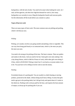backpackers, with the lack of jobs. You need to be smart when looking for work. As I said, call the agencies, ask them how high the demand for work is, how many backpackers are currently in town. Ring the backpacker hostels and caravans parks. Get the information off the locals before you commit to a place.

### **Types of harvest work**

There are many types of farm work. The most common ones are picking and packing, which I will discuss now.

### *Picking*

Picking, as it sounds, involves you going outside and picking a fruit or vegetable. This can vary from being paid hourly or at contracted rates, which is, the more you pick, the more you earn.

You need to be strong to be picking all the time. The heat is intense. There are spiders and snakes in the farms. And you need to be fast. Some girls were only making 1 bin a day doing Onions, which is \$40 for 9 hours of work, while other girls were doing 3- 4 bins, which is \$120-\$160. Picking is hard, but it's not hard as everyone makes it out to be. You just have to be willing to do the work to earn the money.

### *Packing*

Everybody dreams of a packing job. You are usually in a shed cleaning or moving produce, protected in the shade, without doing much heavy lifting. It seems that girls tend to get put in the packing sheds, but I did get lucky and spend about 4-5 weeks in the sheds too. Packing work is always paid by the hour, and requires the least amount of output, so always go for packing jobs if you can.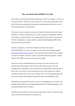### **How my friend made \$18,000 in 14 weeks**

<span id="page-18-0"></span>We all dream of this when first hearing about doing a WHV in Australia, "I wish I get a job in the mines". Well the fact of the matter is, it will be almost impossible to get a job in the mines nowadays given the amount of people applying. However you can still make good money on the harvests.

The reason I came to Australia was because a friend of mine told me how he earned \$18,000 in 14 weeks in the previous year, while having his accommodation paid for. He worked on average 10 hours a day, getting paid \$27 an hour. How you may ask? He did it working for a company called Co-operative Bulk Handling (CBH). They have wheat farms around Perth.

Anyone can apply for a job for the wheat harvest which starts around October/November every year. To apply for a job, please visit the following link [http://careers.cbh.com.au/vacancies/.](http://careers.cbh.com.au/vacancies/) From around June time until the end of August, vacancies will appear. The role is called "Casual Wheat Harvest positions"; usually around 1,500-3,000 vacancies a year. Anyone can apply.

They have on site accommodation for you, however, you may need your own transport from the housing to where you work. My friend was pretty far from anything when working there. Even a trip to the local supermarket would take him an hour's drive. He said the work was hard and very hot. The average day would be around 8-10 hours, and it wasn't easy. He didn't have a car, but managed to get a lift into work everyday from someone staying in the same accommodation as him.

Depending on the yield of the harvest, work can last anything from 6-16 weeks. The starting wage being \$27 hour, including superannuation. My friend managed to total up around \$18,000 in just 14 weeks!

Jobs like this can be found. It's all about knowing where to look. So come June time, click on the link I provided above, and good luck.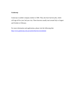# **Graincorp**

Graincorp is another company similar to CBH. They also have harvest jobs, which will sign off for your 2nd year visa. There harvests usually start around July to August and October to February.

For more information and applications, please visit the following link: <http://www.graincorp.com.au/careers/harvest-recruitment>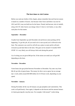# **The best times to visit Gatton**

<span id="page-20-0"></span>Before you read any further of this chapter, please remember that each harvest season is based on a number of factors. Just because what I have said below was true for 2012 and 2013, may not hold true for the future. Floods, bad harvests, lack of rainfall, along with 101 other factors can change when it's best to visit Gatton, or any other rural place for that matter.

### **September – December**

Usually from September up until December red and brown onion picking will be happening. To get this job, all you need to do is turn up and you're allowed on the farm. The contractor you work for will tell you a place to meet and he will pick everyone up and take them to the farm. This goes on for around 3-4 months NON STOP! It's very likely you will always find work during this period.

As of writing you are given \$40 per bin. If the onions are small you will get \$45 depending on the farm.

### **November - December**

Green beans also get picked between November to December. Pay rates vary from 80c-\$1 per kilo of green beans. The money for this is not so great, but an average day's work yields around \$60-\$90 dollars for 6-10 hours work, depending on your speed.

### **November - January**

During November all the way till January you get pumpkins and watermelons. This work is all paid hourly. Once again, it depends on the harvest and the amount farmers in Gatton growing the crop that year. For example, I did around 7 weeks doing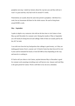pumpkins non-stop. I asked my farmers about the crop last year and they told me it wasn't so great and they only had work for around 4-5 weeks.

Watermelons are usually about the same time period to pumpkins. I did them for a week, but my housemate did them for the whole season. He used to bring home around \$1000 a week.

### **May – September**

I spoke in depth to my contractor who told me the best time to visit Gatton is from May up until December for constant work. During the months of May to September you will mostly be doing broccoli and cabbage. Both of these are usually paid by the bin; \$27 for both.

I was told even from the lazy backpackers that cabbage is good money, so if they are making good money from it, anyone can! A friend of mine has done broccoli for over 4 years and he estimated his hourly is from \$25-\$60 an hour depending on the crop and team he is working in.

If I had to tell you when to visit Gatton, anytime between May to December is good for constant work assuming everything went well harvest wise. January until mid May is the quiet period for Gatton. Work is still there to do, but not as abundant.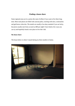# **Finding a house share**

<span id="page-22-0"></span>Some regional areas are in a pretty dire state of affairs if you want to live there long term. Most rural places are filled with caravan parks, crawling with mice, cockroaches and god knows what else. The motels are usually of an okay standard if you are lucky, but prices usually start from as much as \$60 per night! I have listed a few ways you can try and hopefully found a nice place to live like I did.

### **My house share**

The house below is where I stayed during my three months in Gatton.

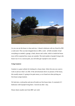

As you can see the house is clean and new. I shared a bedroom with my friend for \$90 a week each. This was later dropped down to \$85 a week - all bills included. It had everything we needed; a garage, a bath, shower and a toilet, which is inside the house (you will be surprised how many are outside). The total number of people living in the house was 4. In a caravan park, you will often get 4 people in one caravan!

# **Using Gumtree**

Gumtree is a great website for looking for a house share. Select the area you want to work in and see what's on offer. If the advertisement shows no pictures of the house, this usually means it's going to be quite messy, as we found out when picking our first house using Gumtree.

We had mice, cockroaches and ants all inside our first house share. It consisted of 3 bedrooms with 8 people living there. I moved out after 1 day.

House shares usually start from \$80+ per week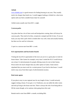### **Airbnb**

[www.Airbnb.com](http://www.airbnb.com/) is a good resource for finding housing in any area. They usually tend to be cheaper than hotels too. I would suggest looking at Airbnb for a short term option until you find a suitable house share for yourself.

Airbnb rooms usually start from \$25+ a night.

### **Caravan parks**

Any place that has a lot of farm work and backpackers coming, there will always be caravan parks. They tend to be dirty, overpriced, cramped and full of mice. If you are lucky you may find a park which is looked after very well, clean and actually homely, but there are few and far in between.

A spot in a caravan start from \$85+ a week.

### **IGA supermarkets and local notice boards**

Visiting the local IGA supermarket of the town you are in is a great place to look for house shares. Take Gatton for example, every time I visited the IGA I would always see at least 3-4 advertisements for people offering rooms for rent in their homes. Prices tend to be much cheaper than any other option in Gatton. Some notices stipulated that you must work for a certain person if you lived in that house. I would tend to stay away from these types of advertisements (scams).

### **Real estate agents**

If you plan to stay in your regional area for any length of time, I would seriously suggest renting a house. If you get a 2 or 3 bedroom, you can sublet the other rooms and end up living in the house rent free. There is always the risk of not being able to fill the rooms though, so be cautious when going down this road.

Rentals tend to start from \$900+ a month, excluding bills.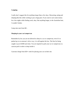# **Camping**

I really don't suggest this for anything longer than a few days. Showering, eating and sleeping like this while working is just a huge pain. If you want to save some money for a few nights while finding work, okay. But anything longer, in the Australian heat, I wouldn't bother.

Camp sites start from \$0+.

# **Sleeping in your car/campervan**

Remember by law you are not allowed to sleep in a car or campervan, even if it is parked up or on someone's drive way, it is still against the law. The fine for being caught is up to \$1000 each time. You are required to park your car or campervan at a caravan park in order to sleep inside it.

Caravans charge from \$20+ week for placing your car on their site.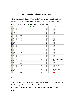# **How I maintained a budget of \$511 a month**

<span id="page-26-0"></span>This is not lie. I really did this. When you don't travel around Australia and live in one spot, it's actually not that expensive. I listed all my costs down on a spreadsheet during my months doing rural work. Below is for December:

| $\overline{1}$            | <b>Date</b> | Food           | <b>Travel</b> | <b>Sports</b> | <b>Alcohol</b>       | <b>Misc</b> | Rent  | <b>Daily Total Misc Items</b> |                      |
|---------------------------|-------------|----------------|---------------|---------------|----------------------|-------------|-------|-------------------------------|----------------------|
| $\overline{2}$            | 01-Dec      | 6              |               |               |                      |             | 11.6  | 17.6                          |                      |
| $\overline{\overline{3}}$ | 02-Dec      |                |               |               |                      |             | 11.6  | 11.6                          |                      |
| $\overline{4}$            | 03-Dec      | 6              |               |               |                      |             | 11.6  | 17.6                          |                      |
| $\overline{5}$            | 04-Dec      | $\overline{2}$ |               |               |                      |             | 11.6  | 13.6                          |                      |
| $\overline{6}$            | 05-Dec      |                |               |               |                      |             | 11.6  | 11.6                          |                      |
| 7                         | 06-Dec      | 8.5            |               |               |                      |             | 11.6  | 20.1                          |                      |
| 8                         | 07-Dec      |                |               |               |                      |             | 11.6  | 11.6                          |                      |
| 9                         | 08-Dec      | 10             |               |               |                      |             | 11.6  | 21.6                          |                      |
| 10                        | 09-Dec      |                |               |               |                      |             | 11.6  | 11.6                          |                      |
| 11                        | 10-Dec      | 12             |               |               |                      |             | 11.6  | 23.6                          |                      |
| 12                        | 11-Dec      |                |               |               |                      |             | 11.6  | 11.6                          |                      |
| 13 <sup>°</sup>           | 12-Dec      |                |               |               |                      |             | 11.6  | 11.6                          |                      |
| 14                        | 13-Dec      |                |               |               |                      |             | 11.6  | 11.6                          |                      |
| 15                        | 14-Dec      |                |               |               |                      |             | 11.6  | 11.6                          |                      |
| 16.                       | 15-Dec      | 10             |               |               |                      |             | 11.6  | 21.6                          |                      |
| 17                        | 16-Dec      |                |               |               |                      |             | 11.6  | 11.6                          |                      |
| 18.                       | 17-Dec      |                |               |               |                      |             | 11.6  | 11.6                          |                      |
| 19                        | 18-Dec      | 20             |               |               |                      |             | 11.6  | 31.6                          |                      |
| 20                        | 19-Dec      |                |               |               |                      |             | 11.6  | 11.6                          |                      |
| 21                        | 20-Dec      |                |               |               |                      |             | 11.6  | 11.6                          |                      |
| 22                        | 21-Dec      |                |               |               |                      |             | 11.6  | 11.6                          |                      |
| 23.                       | 22-Dec      |                |               |               |                      |             | 11.6  | 11.6                          |                      |
| 24 <sub>1</sub>           | 23-Dec      |                |               |               |                      | 2.5         | 11.6  |                               | 14.1 laundary powder |
| 25.                       | 24-Dec      | 15             |               |               |                      |             | 11.6  | 26.6                          |                      |
| 26 <sub>1</sub>           | 25-Dec      |                |               |               |                      |             | 11.6  | 11.6                          |                      |
| 27                        | 26-Dec      | 8.5            |               |               |                      |             | 11.6  | 20.1                          |                      |
| 28.                       | 27-Dec      | 9              |               |               |                      | 30          | 11.6  |                               | 41.6 Internet        |
| 29.                       | 28-Dec      |                |               |               |                      |             | 11.6  | 11.6                          |                      |
| 30                        | 29-Dec      |                |               |               |                      |             | 11.6  | 11.6                          |                      |
| 31.                       | 30-Dec      | 7              |               |               |                      | 5.5         | 11.6  |                               | 24.1 gloves/hat      |
| 32 <sub>1</sub>           | 31-Dec      |                |               |               |                      |             | 11.6  | 11.6                          |                      |
| $\overline{33}$           |             | 114            | 0             |               | οľ<br>$\overline{0}$ | 38.         | 359.6 | 511.6                         |                      |

### **Rent**

\$360 a month in a nice 2 bedroom brick house. Everything in the house was new, and it had a garage and a nice little back garden. Much better to live here than in backpacker accommodation or in a caravan park, which sometimes actually cost more!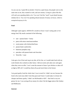As you can see, I spent \$0 on alcohol. I lived in a quiet house, the people were on the same tone as me, they wanted to work, and save money. Living in a place like this will curb your spending habits a lot. You won't feel the "need" to get drunk because nobody else is. You won't be spending absurd amount of money on booze, which is overpriced anyway in Oz.

### **Food**

Although I spent approx. \$100-\$120 a month on food, I wasn't eating junk or low energy food. My meals consisted of the following:

- $\bullet$  oats + peanut butter + honey
- pasta with mince meat/tuna/sardines
- sweet potato with chicken/beef/tuna
- peanut butter sandwiches
- butternut pumpkin soup
- pancakes with peanut butter and chocolate
- $\bullet$  Weet-Bix + toast

I also got a lot of fruit and veg in my diet, all for free, as I would trade food with my work friends who worked on other farms. I did eat sweets and cakes now and again when they were on offer. I can't count the amount of times I got chicken or cakes off as high as 90% off. I would buy them all up and stock them in the freezer.

I ate good quality food the whole time I was in rural Oz. I didn't eat out, because the food in the rural areas didn't look that great and I knew I could make it at home for cheaper and better quality. I didn't eat McDonalds or KFC - that food is way too greasy for me. I was saving all my money for when I hit the bigger places like Sydney and Melbourne.

### **Internet**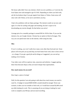My house sadly didn't have any internet, which was not a problem, as I went into the local Optus store and managed to get 3G Wifi. Depending on where you find work, ask the local phone shop if you get signals from Optus or Telstra. Some areas will only work with Telstra, so be sure to ask before you buy.

I had a few problems with my Optus package. The internet would cut out now and again. It is fine for surfing web pages and emailing, but don't expect to be downloading any movies though. Do that before you arrive!

Average price for a monthly package is around \$30 for 3GB of data. If you use the internet a lot, use Google chrome. Chrome has an option to block all images. This way you can spend more time on the internet, while using less data.

### **Misc**

If you're working, you won't really have many costs other than food and rent. Some places will even pick you up and drop you back home from work, door to door service - at a charge. If you get a good job and do things as I suggested, you can end up making a lot of money.

Your other costs will be on gloves, hats, sunscreen and toiletries. I suggest getting these from discount shops as they are much cheaper than supermarkets.

### **How much money do you need?**

### How long's a piece of string?

Well, for this question I am only going to talk about how much money you need in rural Oz. A budget of around \$600-\$1000 a month should be enough. Worst case scenario, it takes you two months to find work, so I would have around \$2,000 saved up while looking for work. This is assuming all you are doing is looking for rural work to complete your 88 days and not much travelling.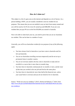# **How do I claim tax?**

<span id="page-29-0"></span>This subject is a bit of a grey area on the internet and depends on a lot of factors. As a person holding a WHV, you are usually considered a non-tax resident for tax purposes. This means that you are not entitled to any tax back from money earned and you will be taxed at 32.5% for every \$1 earned up until \$80,000. If you are a tax resident then you pay 0% tax on the first \$18,000 you earned in Australia.

Now to be able to claim back your tax, you need to prove that you are an Australian tax resident. This can be done in a number of ways:

*Generally, you will be an Australian resident for tax purposes if any of the following apply:*

- *You have always lived in Australia or you have come to Australia and live here permanently.*
- *You are an Australian travelling overseas temporarily and do not set up a permanent home in another country.*
- *You are an overseas student who has come to Australia to study and are enrolled in a course that is more than six months long.*
- *You have been in Australia continuously for six months or more, and for most of that time you worked in the one job and lived at the same place.*
- *You have been in Australia for more than half of the financial year, unless your usual home is overseas and you do not intend to live in Australia.*

Source: "Work out your tax residency".(2013). Retrieved February 1<sup>st</sup> 2014, from *[http://www.ato.gov.au/Individuals/International-tax-for-individuals/Work-out-your](http://www.ato.gov.au/Individuals/International-tax-for-individuals/Work-out-your-tax-residency/)[tax-residency/](http://www.ato.gov.au/Individuals/International-tax-for-individuals/Work-out-your-tax-residency/)*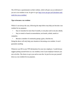The ATO have a questionnaire on their website, which will give you an indication if you are a tax resident or not. So give it a go: [http://www.ato.gov.au/Calculators-and](http://www.ato.gov.au/Calculators-and-tools/Are-you-a-resident/)[tools/Are-you-a-resident/](http://www.ato.gov.au/Calculators-and-tools/Are-you-a-resident/)

# **Tips to become a tax resident**

While it's not always the case, following the steps below may help you become a tax resident for tax purposes:

• Stay in Australia for more than 6 months, in one place and in one job, ideally.

• Stay in rented or leased accommodation; not hostels, airbnb, motels or campsites.

• Become a member of community groups, gyms, churches etc.

Doing the above will only help your situation in becoming a tax resident. It won't guarantee anything.

Whenever you fill in your TFN declarations for your new employer, I would always suggest putting yourself down as a tax resident, even if your employer instructs you not to do this. The choice is up to you and no one else. So just for now put yourself down as a tax resident for tax purposes.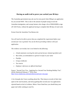# <span id="page-31-0"></span>**Having an audit trail to prove you worked your 88 days**

The Australian government may ask you for extra proof when filling in an application for you second WHV. This is due to the amount of people trying to trick the Australian immigration, and corrupt farmers who charge a fee of \$500-\$2000 to sign off 1263 Forms, without the applicant having to complete their 88 days of rural work.

Extract from the Australian Visa Bureau site:

*You will need to be able to prove that you completed the requirement before your second year visa is granted. You can do this by providing evidence with your application.* 

*The evidence can include, but is not limited to the following:* 

- *A bank statement covering the entire period of your claimed specified work*
- *Bus tickets, accommodation or general receipts in your name*
- *Payslips*
- *Group certificates*
- *Tax returns*
- *Employer references on official letterhead*

Source: "Second Year Visa - Applying for a Second Year Working Holiday Visa". (2014). Retrieved February  $1<sup>st</sup>$  2014, from *<http://www.visabureau.com/australia/second-year-visa.aspx>*

A lot of people don't know anything about this. They keep no records of their time spent in the rural locations, and end up getting their second year visa applications rejected based on lack of evidence. Below I have listed how you should keep your paper trail while working in rural Oz.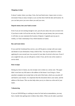### **Shopping receipts**

It doesn't matter where you shop, Coles, the local book store, Liquor store or even a newsstand. Keep as many receipts as you can that show both the date and location. So you can later prove you were where you said you were.

### **Deposit money into your bank account**

Even if you are not earning enough to save, put all your salary into your account even if you have to take it all out the next day. Each time you put money into your account, it will show on your statement the location of deposit. I regularly put my pay in weekly, so I had a timestamp of my whole duration in Gatton.

### **Bus and train tickets**

If you used the Greyhound bus service, you will be given a receipt with your name and details of your destination. Keep a hold of this. You may be asked for it when applying for your second year visa as proof of your date of arrival to the town. Even if you caught the train, you are still given a ticket. If not, ask for one at the counter or service desk.

### **Rent receipts**

During my time in Gatton, my rent receipts were written on a sticky note. The paper didn't even have my full name or the address of the house I was living in. I have attached a template rent receipt letter at the end of this book, which you can print off and hand to your tenants. It is important that this document shows your name, and the address of the house. This can also help when you try to claim tax at the end of your WHV.

### **Volunteering**

If you are WWOOFing or working in return for food and accommodation, you may have a harder time getting more evidence than others. When you do make a purchase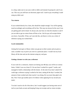in a shop, make sure to use your credit or debit card instead of paying for cash if you can. This way you still have an electronic paper trail. I used to pay everything I could using my debit card.

### **Tax returns**

If you worked directly for a farm, this should be simple enough. You will be getting taxed accordingly and everything will be fine. This may not always be the case if you are getting paid cash-in-hand. So always ask your boss on what the situation is and if you are able to get tax return forms off him or her. Ask for pay roll receipts before you leave, if possible. If they can't provide this, ask them to write you a letter of reference saying you worked there.

### **Local communities**

Joining the local gym or library where you get put on their system and are given a card, is another way to prove you were in a particular place. I would visit my local library all the time and use the internet using my card pass.

### **Getting a farmer to write you a reference**

If you work for a contractor, chances are during your 88 days you will be on various farms. I think I was on at least 25. On one farm I worked for a good 7 weeks, and managed to build a relationship with the farmer. At the end of my time I asked if he could sign a reference saying I worked at his farm, stating all the days I worked, the amount of time worked and what exactly I was doing. He was more than glad to do this. Now I have got another piece of evidence when applying for my second year WHV.

You don't need to do all of the above, but I would suggest you having some sort of trail on your bank account and keeping living cost receipts and tax return receipts.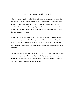# **But I can't speak English very well**

<span id="page-34-0"></span>Okay so you can't speak a word of English. Chances of you getting a job in the city are quite low. But how about in the rural areas? Not a problem. I have worked with hundreds of people who have little to no English skills in Gatton. The good thing about farm tasks is that for the most part you just follow what everyone else is doing. I have worked in packing sheds full of Asian women who can't speak much English, but have mastered their jobs.

I have worked with French and Italians while picking Pumpkins. Once again, they didn't speak very much English, but they were all doing the work well. The problems you face are when you try to communicate with either a farmer or a contractor asking for work. So it's best to make friends with English speaking people so they can act as a translator.

You won't get discriminated against being any ethnicity in rural Oz. The farmers need the workers and they are glad you are here to help. Some may make the odd joke and remark, but that's just the way of life here. So the fact that you don't speak English well, won't be too much of a problem in rural Oz.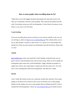### **How to meet people when travelling alone in Oz?**

<span id="page-35-0"></span>I think this is one of the biggest questions that people ask when they travel to Oz. They are worried they will fail to meet anybody. This could not be further from the truth. Everywhere you go you will see backpackers. I have listed a few places to use below so you won't ever feel alone.

### **Couch Surfing**

If you are travelling alone and are worried you won't know anybody in the city you are arriving at, check out<https://www.couchsurfing.org/> This website allows you to stay at other people's couches or spare rooms. It's a great way to meet people who already live in the city and can give you information only the locals have. Best of all, it's free!

### **Airbnb**

<http://airbnb.com/> works very much like Couch Surfing, except this time you are given a bed in a private/shared room, and you have to pay. More so in Oz, people are turning their spare rooms into a mini backpackers' lodge, offering 4-6 people in a single room. This is also a great place to spend your first few days in Oz. You will have a mix of backpackers and locals staying there. The ideal mix, I think.

### **Hostels**

I don't really like hostels as they are overpriced, usually dirty and they fit too many people in one dorm in Oz. However, they are by far the best way to meet people. Hostels are the number one way to meet people when travelling around Oz. Each is rimmed full with backpackers. Check out [www.hostelworld.com](http://www.hostelworld.com/) for hostel reviews.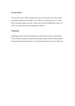### **Internet forums**

All you need to do is a quick Google search and you will come across many forums with people asking the same thing as you: "Where can I meet people in oz?". Send them a message asking to meet up, or make a post yourself telling people where you will be on certain dates, and inviting people to meet up.

### **Dating apps**

Dating apps such as Tindr, POF and Skout are all useful if you have a smart phone. Not for finding a boyfriend or girlfriend, but rather to make friends and meet people. The good thing about these apps is, you can make friends before you even land in Oz.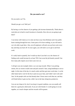# **Do you need a car?**

<span id="page-37-0"></span>Do you need a car? No.

Should you get a car? Hell yes!!

By having a car the chances of you getting a job increase dramatically. Think about it. rural jobs are in hard to reach locations in Australia. How else are you going to get there?

I was lucky with Gatton as it is only one hour away from Brisbane and it has public buses running through the town. Some parts of Oz have nothing, so you will need a car to be able to get there. Also, not all employers will pick you up from work every day and drop you back off. So once again, you will need a car to get to and from work.

It's really hard to quantify, but I would say that if you had a car, the chances of finding work would increase by at least 70%! Just scout the job boards yourself. See how many jobs require you to have your own car.

I will give you one example where a car can reap rewards. When I was picking onions, the car owners would come and pick around 2-3am, using headlamps to see at night. At this time of the day it is much cooler and they got more work done. I, on the other hand, had to wait for the bus to pick me up at 4am, and I didn't start work until 5am. So the people with cars had already done 3 hours more work than me, and they will finish before it gets too hot, while I am in the heat, being less productive.

Cars are not cheap in Oz, but if you keep it in good condition, you can usually sell them for a good price afterwards. If you are with friends it's worth going in on one together, as it much cheaper and the rewards will be greater.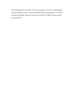Petrol currently is \$1.52 per litre, if you are in a group of 3 or more, I think getting a car is the right idea. It won't cost each individual much. Assuming the car is near the condition of purchase, when you leave you can sell it for 70-80% of what you paid for, maybe more!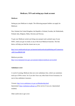# **Medicare, TFN and setting up a bank account**

### <span id="page-39-0"></span>**Medicare**

Setting up your Medicare is simple. The following passport holders can apply for Medicare:

New Zealand, the United Kingdom, the Republic of Ireland, Sweden, the Netherlands, Finland, Italy, Belgium, Malta, Slovenia and Norway.

To get your Medicare sorted, just bring your passport and a printed copy of your WHV, which you got via email, to any of the local Medicare branches. The link below will help you find the closest one to you.

[http://www.medicarelocals.gov.au/internet/medicarelocals/publishing.nsf/Content/my](http://www.medicarelocals.gov.au/internet/medicarelocals/publishing.nsf/Content/my-ml#.UuxwBbQW1iM) [-ml#.UuxwBbQW1iM](http://www.medicarelocals.gov.au/internet/medicarelocals/publishing.nsf/Content/my-ml#.UuxwBbQW1iM)

Medicare provides:

<http://www.humanservices.gov.au/customer/subjects/medicare-services#a3>

### **Ambulance cover**

A word of warning, Medicare does not cover ambulance fees, which can sometimes total up to \$700 or more. So if you don't have any other kind of travel insurance, be sure to buy ambulance insurance.

Victoria: <http://www.ambulance.vic.gov.au/Membership.html> Queensland: [https://ambulance.qld.gov.au](https://ambulance.qld.gov.au/) (Free service if you are a Queensland resident)

Other useful sites to get cover: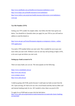<http://www.medibank.com.au/healthcover/insurance/ambulance-cover/> <http://www.bupa.com.au/health-insurance/cover/ambulance> [http://www.iselect.com.au/private-health-insurance/info/extras-cover/ambulance](http://www.iselect.com.au/private-health-insurance/info/extras-cover/ambulance-cover.jsp)[cover.jsp](http://www.iselect.com.au/private-health-insurance/info/extras-cover/ambulance-cover.jsp)

# **Tax File Number (TFN)**

Getting your TFN couldn't be simpler either. Just follow the link I have given you below. You should be in Australia when you apply for your TFN as you will need an address to send the details to.

[http://www.ato.gov.au/Forms/Permanent-migrants-or-temporary-visitors---online-](http://www.ato.gov.au/Forms/Permanent-migrants-or-temporary-visitors---online-TFN-application/)[TFN-application/](http://www.ato.gov.au/Forms/Permanent-migrants-or-temporary-visitors---online-TFN-application/)

You need a TFN number before you start work. This is needed for you to pay your taxes when you start work. Without it your tax rate may end up being as high as 45%, so be sure to get one before you start work.

# **Setting up a bank account in Oz**

There are many banks you can use. The most popular are the following:

<https://www.commbank.com.au/> <http://www.anz.com.au/> [www.westpac.com.au](http://www.westpac.com.au/) <http://www.nab.com.au/>

I ended up going with NAB, purely because I could open my bank account from the UK. Upon arriving, all I had to do was visit a local branch and they had my debit card and internet banking ready for me. All I needed to show them was proof of ID.

To apply for an NAB bank account click the link below: [http://www.nab.com.au/personal/accounts/transaction-accounts/nab-classic-banking](http://www.nab.com.au/personal/accounts/transaction-accounts/nab-classic-banking-account.html)[account.html](http://www.nab.com.au/personal/accounts/transaction-accounts/nab-classic-banking-account.html)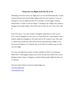# **Cheap one way flights from the UK to Oz**

<span id="page-41-0"></span>Depending on the time of the year, flight prices can rise and fall dramatically. Usually around Christmas and school holidays flights tend to be more expensive. If you are looking for a one way flight from the UK to Australia, I would suggest using the method below. It tends to work out cheaper. I managed to get a flight from London to Bangkok, then another flight to The Gold Coast for £444, one way. This is how I did it:

First of all, I got a 1 way from London to Bangkok using Oman air. This cost me £347. I lived in Bangkok for over a year, so I stayed there for a week stopover. Then I booked a flight from Bangkok to The Gold Coast for £97 using Air Asia. This came to a grand total of £444. Be carful when you book individual legs of flights. If you miss your first flight or if it's delayed, they are not held accountable to get you onto your next flight.

For a one-way flight from London to Sydney, Brisbane or Perth, I was looking at £600-£700. I would suggest seeing if you can fly into big Asian airports first, such as Bangkok, Kuala Lumpur or Singapore, and then finding another flight that takes you to Australia.

The most useful websites I found for finding flights are: [www.skyscanner.net](http://www.skyscanner.net/) [www.statravel.co.uk](http://www.statravel.co.uk/)